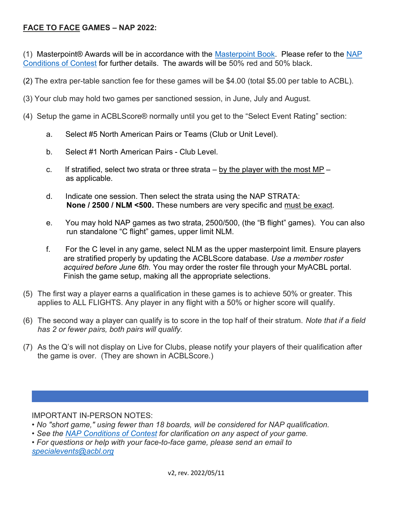## FACE TO FACE GAMES – NAP 2022:

(1) Masterpoint® Awards will be in accordance with the Masterpoint Book. Please refer to the NAP Conditions of Contest for further details. The awards will be 50% red and 50% black.

(2) The extra per-table sanction fee for these games will be \$4.00 (total \$5.00 per table to ACBL).

- (3) Your club may hold two games per sanctioned session, in June, July and August.
- (4) Setup the game in ACBLScore® normally until you get to the "Select Event Rating" section:
	- a. Select #5 North American Pairs or Teams (Club or Unit Level).
	- b. Select #1 North American Pairs Club Level.
	- c. If stratified, select two strata or three strata  $-$  by the player with the most MP  $$ as applicable.
	- d. Indicate one session. Then select the strata using the NAP STRATA: None / 2500 / NLM <500. These numbers are very specific and must be exact.
	- e. You may hold NAP games as two strata, 2500/500, (the "B flight" games). You can also run standalone "C flight" games, upper limit NLM.
	- f. For the C level in any game, select NLM as the upper masterpoint limit. Ensure players are stratified properly by updating the ACBLScore database. Use a member roster acquired before June 6th. You may order the roster file through your MyACBL portal. Finish the game setup, making all the appropriate selections.
- (5) The first way a player earns a qualification in these games is to achieve 50% or greater. This applies to ALL FLIGHTS. Any player in any flight with a 50% or higher score will qualify.
- (6) The second way a player can qualify is to score in the top half of their stratum. Note that if a field has 2 or fewer pairs, both pairs will qualify.
- (7) As the Q's will not display on Live for Clubs, please notify your players of their qualification after the game is over. (They are shown in ACBLScore.)

IMPORTANT IN-PERSON NOTES:

- No "short game," using fewer than 18 boards, will be considered for NAP qualification.
- See the NAP Conditions of Contest for clarification on any aspect of your game.

• For questions or help with your face-to-face game, please send an email to specialevents@acbl.org